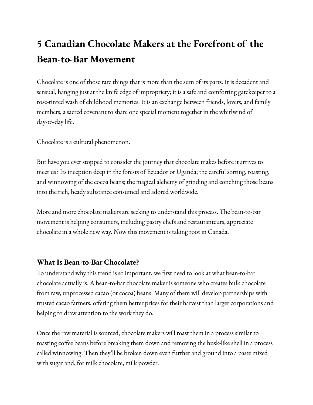# **5 Canadian Chocolate Makers at the Forefront of the Bean-to-Bar Movement**

Chocolate is one of those rare things that is more than the sum of its parts. It is decadent and sensual, hanging just at the knife edge of impropriety; it is a safe and comforting gatekeeper to a rose-tinted wash of childhood memories. It is an exchange between friends, lovers, and family members, a sacred covenant to share one special moment together in the whirlwind of day-to-day life.

Chocolate is a cultural phenomenon.

But have you ever stopped to consider the journey that chocolate makes before it arrives to meet us? Its inception deep in the forests of Ecuador or Uganda; the careful sorting, roasting, and winnowing of the cocoa beans; the magical alchemy of grinding and conching those beans into the rich, heady substance consumed and adored worldwide.

More and more chocolate makers are seeking to understand this process. The bean-to-bar movement is helping consumers, including pastry chefs and restauranteurs, appreciate chocolate in a whole new way. Now this movement is taking root in Canada.

## **What Is Bean-to-Bar Chocolate?**

To understand why this trend is so important, we first need to look at what bean-to-bar chocolate actually is. A bean-to-bar chocolate maker is someone who creates bulk chocolate from raw, unprocessed cacao (or cocoa) beans. Many of them will develop partnerships with trusted cacao farmers, offering them better prices for their harvest than larger corporations and helping to draw attention to the work they do.

Once the raw material is sourced, chocolate makers will roast them in a process similar to roasting coffee beans before breaking them down and removing the husk-like shell in a process called winnowing. Then they'll be broken down even further and ground into a paste mixed with sugar and, for milk chocolate, milk powder.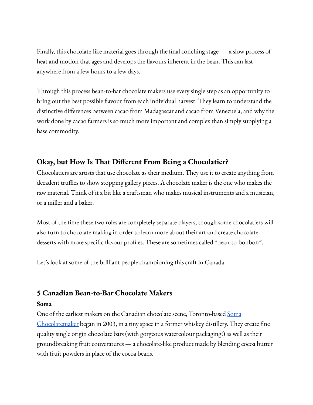Finally, this chocolate-like material goes through the final conching stage — a slow process of heat and motion that ages and develops the flavours inherent in the bean. This can last anywhere from a few hours to a few days.

Through this process bean-to-bar chocolate makers use every single step as an opportunity to bring out the best possible flavour from each individual harvest. They learn to understand the distinctive differences between cacao from Madagascar and cacao from Venezuela, and why the work done by cacao farmers is so much more important and complex than simply supplying a base commodity.

## **Okay, but How Is That Different From Being a Chocolatier?**

Chocolatiers are artists that use chocolate as their medium. They use it to create anything from decadent truffles to show stopping gallery pieces. A chocolate maker is the one who makes the raw material. Think of it a bit like a craftsman who makes musical instruments and a musician, or a miller and a baker.

Most of the time these two roles are completely separate players, though some chocolatiers will also turn to chocolate making in order to learn more about their art and create chocolate desserts with more specific flavour profiles. These are sometimes called "bean-to-bonbon".

Let's look at some of the brilliant people championing this craft in Canada.

## **5 Canadian Bean-to-Bar Chocolate Makers**

#### **Soma**

One of the earliest makers on the Canadian chocolate scene, Toronto-based [Soma](https://www.somachocolate.com/pages/our-story) [Chocolatemaker](https://www.somachocolate.com/pages/our-story) began in 2003, in a tiny space in a former whiskey distillery. They create fine quality single origin chocolate bars (with gorgeous watercolour packaging!) as well as their groundbreaking fruit couveratures — a chocolate-like product made by blending cocoa butter with fruit powders in place of the cocoa beans.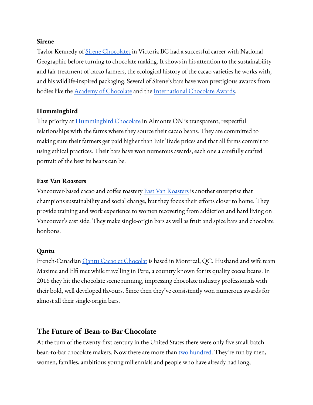#### **Sirene**

Taylor Kennedy of Sirene [Chocolates](https://sirenechocolate.com/pages/about-sirene) in Victoria BC had a successful career with National Geographic before turning to chocolate making. It shows in his attention to the sustainability and fair treatment of cacao farmers, the ecological history of the cacao varieties he works with, and his wildlife-inspired packaging. Several of Sirene's bars have won prestigious awards from bodies like the Academy of [Chocolate](https://academyofchocolate.org.uk/) and the [International](https://www.internationalchocolateawards.com/) Chocolate Awards.

#### **Hummingbird**

The priority at [Hummingbird](https://hummingbirdchocolate.com/pages/our-story) Chocolate in Almonte ON is transparent, respectful relationships with the farms where they source their cacao beans. They are committed to making sure their farmers get paid higher than Fair Trade prices and that all farms commit to using ethical practices. Their bars have won numerous awards, each one a carefully crafted portrait of the best its beans can be.

#### **East Van Roasters**

Vancouver-based cacao and coffee roastery **East Van [Roasters](https://eastvanroasters.com/community-spotlight)** is another enterprise that champions sustainability and social change, but they focus their efforts closer to home. They provide training and work experience to women recovering from addiction and hard living on Vancouver's east side. They make single-origin bars as well as fruit and spice bars and chocolate bonbons.

#### **Qantu**

French-Canadian *Qantu Cacao et [Chocolat](https://en.qantuchocolate.com/notre-histoire)* is based in Montreal, QC. Husband and wife team Maxime and Elfi met while travelling in Peru, a country known for its quality cocoa beans. In 2016 they hit the chocolate scene running, impressing chocolate industry professionals with their bold, well developed flavours. Since then they've consistently won numerous awards for almost all their single-origin bars.

## **The Future of Bean-to-Bar Chocolate**

At the turn of the twenty-first century in the United States there were only five small batch bean-to-bar chocolate makers. Now there are more than two [hundred.](https://www.fearlesscaptivations.com/bean-bar-chocolate-craft-chocolate/) They're run by men, women, families, ambitious young millennials and people who have already had long,